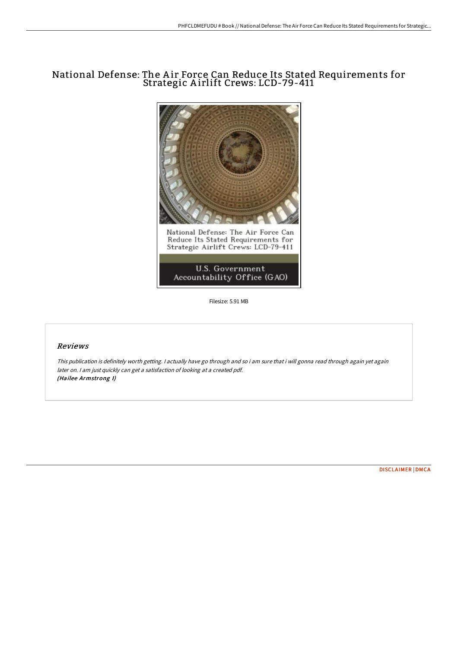# National Defense: The A ir Force Can Reduce Its Stated Requirements for Strategic A irlift Crews: LCD-79-411



Filesize: 5.91 MB

# Reviews

This publication is definitely worth getting. <sup>I</sup> actually have go through and so i am sure that i will gonna read through again yet again later on. <sup>I</sup> am just quickly can get <sup>a</sup> satisfaction of looking at <sup>a</sup> created pdf. (Hailee Armstrong I)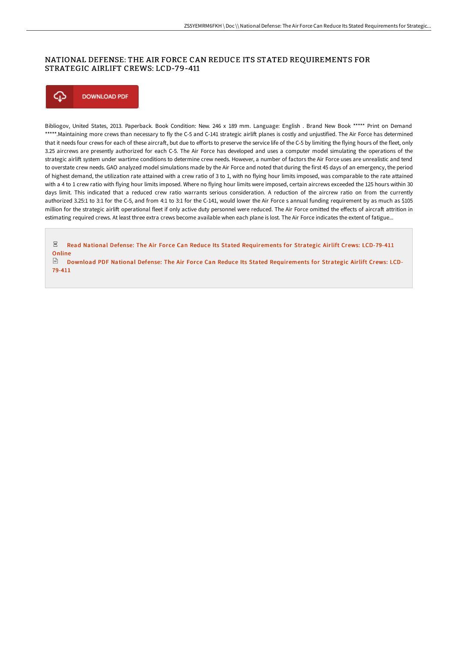## NATIONAL DEFENSE: THE AIR FORCE CAN REDUCE ITS STATED REQUIREMENTS FOR STRATEGIC AIRLIFT CREWS: LCD-79-411



Bibliogov, United States, 2013. Paperback. Book Condition: New. 246 x 189 mm. Language: English . Brand New Book \*\*\*\*\* Print on Demand \*\*\*\*\*.Maintaining more crews than necessary to fly the C-5 and C-141 strategic airlift planes is costly and unjustified. The Air Force has determined that it needs four crews for each of these aircraft, but due to efforts to preserve the service life of the C-5 by limiting the flying hours of the fleet, only 3.25 aircrews are presently authorized for each C-5. The Air Force has developed and uses a computer model simulating the operations of the strategic airlift system under wartime conditions to determine crew needs. However, a number of factors the Air Force uses are unrealistic and tend to overstate crew needs. GAO analyzed model simulations made by the Air Force and noted that during the first 45 days of an emergency, the period of highest demand, the utilization rate attained with a crew ratio of 3 to 1, with no flying hour limits imposed, was comparable to the rate attained with a 4 to 1 crew ratio with flying hour limits imposed. Where no flying hour limits were imposed, certain aircrews exceeded the 125 hours within 30 days limit. This indicated that a reduced crew ratio warrants serious consideration. A reduction of the aircrew ratio on from the currently authorized 3.25:1 to 3:1 for the C-5, and from 4:1 to 3:1 for the C-141, would lower the Air Force s annual funding requirement by as much as \$105 million for the strategic airlift operational fleet if only active duty personnel were reduced. The Air Force omitted the effects of aircraft attrition in estimating required crews. At least three extra crews become available when each plane is lost. The Air Force indicates the extent of fatigue...

 $\Xi^-$  Read National Defense: The Air Force Can Reduce Its Stated [Requirements](http://bookera.tech/national-defense-the-air-force-can-reduce-its-st.html) for Strategic Airlift Crews: LCD-79-411 **Online** 

 $\Box$  Download PDF National Defense: The Air Force Can Reduce Its Stated [Requirements](http://bookera.tech/national-defense-the-air-force-can-reduce-its-st.html) for Strategic Airlift Crews: LCD-79-411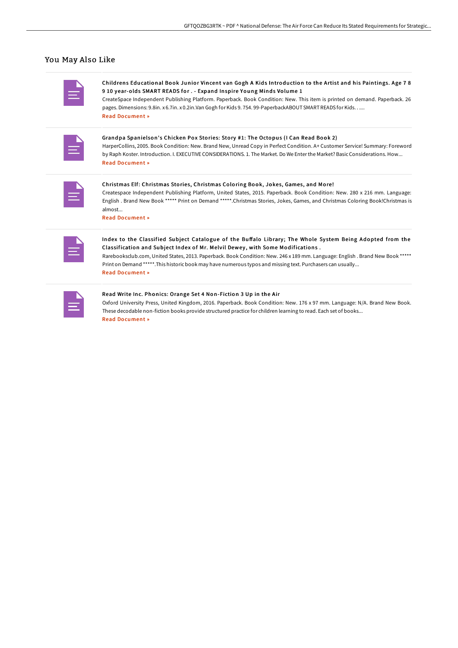### You May Also Like

Childrens Educational Book Junior Vincent van Gogh A Kids Introduction to the Artist and his Paintings. Age 7 8 9 10 year-olds SMART READS for . - Expand Inspire Young Minds Volume 1 CreateSpace Independent Publishing Platform. Paperback. Book Condition: New. This item is printed on demand. Paperback. 26 pages. Dimensions: 9.8in. x 6.7in. x 0.2in.Van Gogh for Kids 9. 754. 99-PaperbackABOUT SMARTREADS for Kids. . ....

Read [Document](http://bookera.tech/childrens-educational-book-junior-vincent-van-go.html) »

|  | the control of the control of the |  |
|--|-----------------------------------|--|

Grandpa Spanielson's Chicken Pox Stories: Story #1: The Octopus (I Can Read Book 2) HarperCollins, 2005. Book Condition: New. Brand New, Unread Copy in Perfect Condition. A+ Customer Service! Summary: Foreword by Raph Koster. Introduction. I. EXECUTIVE CONSIDERATIONS. 1. The Market. Do We Enterthe Market? BasicConsiderations. How... Read [Document](http://bookera.tech/grandpa-spanielson-x27-s-chicken-pox-stories-sto.html) »

| the control of the control of the |
|-----------------------------------|
|                                   |
|                                   |

#### Christmas Elf: Christmas Stories, Christmas Coloring Book, Jokes, Games, and More!

Createspace Independent Publishing Platform, United States, 2015. Paperback. Book Condition: New. 280 x 216 mm. Language: English . Brand New Book \*\*\*\*\* Print on Demand \*\*\*\*\*.Christmas Stories, Jokes, Games, and Christmas Coloring Book!Christmas is almost...

Read [Document](http://bookera.tech/christmas-elf-christmas-stories-christmas-colori.html) »

| the control of the control of the |
|-----------------------------------|

#### Index to the Classified Subject Catalogue of the Buffalo Library; The Whole System Being Adopted from the Classification and Subject Index of Mr. Melvil Dewey, with Some Modifications.

Rarebooksclub.com, United States, 2013. Paperback. Book Condition: New. 246 x 189 mm. Language: English . Brand New Book \*\*\*\*\* Print on Demand \*\*\*\*\*.This historic book may have numerous typos and missing text. Purchasers can usually... Read [Document](http://bookera.tech/index-to-the-classified-subject-catalogue-of-the.html) »

#### Read Write Inc. Phonics: Orange Set 4 Non-Fiction 3 Up in the Air

Oxford University Press, United Kingdom, 2016. Paperback. Book Condition: New. 176 x 97 mm. Language: N/A. Brand New Book. These decodable non-fiction books provide structured practice for children learning to read. Each set of books... Read [Document](http://bookera.tech/read-write-inc-phonics-orange-set-4-non-fiction--4.html) »